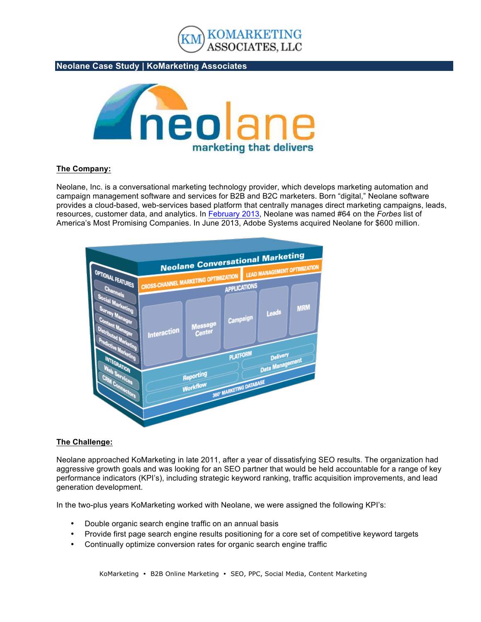

**Neolane Case Study | KoMarketing Associates**



#### **The Company:**

Neolane, Inc. is a conversational marketing technology provider, which develops marketing automation and campaign management software and services for B2B and B2C marketers. Born "digital," Neolane software provides a cloud-based, web-services based platform that centrally manages direct marketing campaigns, leads, resources, customer data, and analytics. In February 2013, Neolane was named #64 on the *Forbes* list of America's Most Promising Companies. In June 2013, Adobe Systems acquired Neolane for \$600 million.



#### **The Challenge:**

Neolane approached KoMarketing in late 2011, after a year of dissatisfying SEO results. The organization had aggressive growth goals and was looking for an SEO partner that would be held accountable for a range of key performance indicators (KPI's), including strategic keyword ranking, traffic acquisition improvements, and lead generation development.

In the two-plus years KoMarketing worked with Neolane, we were assigned the following KPI's:

- Double organic search engine traffic on an annual basis
- Provide first page search engine results positioning for a core set of competitive keyword targets
- Continually optimize conversion rates for organic search engine traffic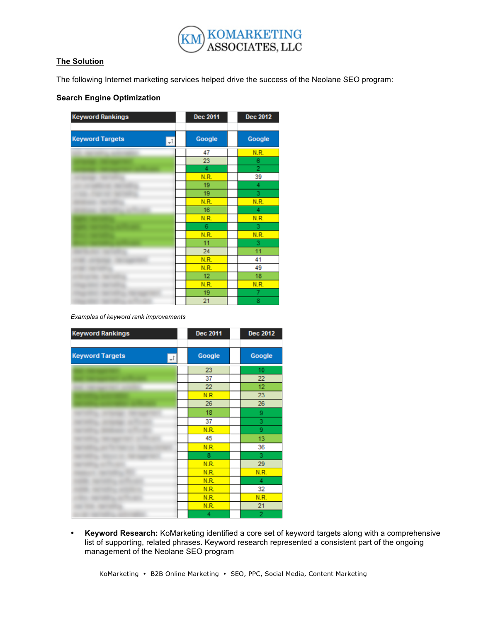

# **The Solution**

The following Internet marketing services helped drive the success of the Neolane SEO program:

## **Search Engine Optimization**

| <b>Keyword Rankings</b>      | <b>Dec 2011</b> | <b>Dec 2012</b> |
|------------------------------|-----------------|-----------------|
| <b>Keyword Targets</b><br>J. | Google          | Google          |
|                              | 47              | N.R.            |
|                              | 23              | 6               |
|                              | 4               | $\overline{2}$  |
|                              | N.R.            | 39              |
|                              | 19              | 4               |
|                              | 19              | 3               |
|                              | N.R.            | N.R.            |
|                              | 16              | 4               |
|                              | N.R.            | N.R.            |
|                              | 6               | 3               |
|                              | N.R.            | N.R.            |
|                              | 11              | 3               |
|                              | 24              | 11              |
|                              | N.R.            | 41              |
|                              | N.R.            | 49              |
|                              | 12              | 18              |
|                              | N.R.            | N.R.            |
|                              | 19              | 7               |
|                              | 21              | 8               |

*Examples of keyword rank improvements*

| <b>Keyword Rankings</b>      | <b>Dec 2011</b> | <b>Dec 2012</b> |
|------------------------------|-----------------|-----------------|
|                              |                 |                 |
| <b>Keyword Targets</b><br>T. | Google          | Google          |
|                              | 23              | 10              |
|                              | 37              | 22              |
|                              | 22              | 12              |
|                              | N.R.            | 23              |
|                              | 26              | 26              |
|                              | 18              | 9               |
|                              | 37              | 3               |
|                              | N.R.            | 9               |
|                              | 45              | 13              |
|                              | N.R.            | 36              |
|                              | 8               | 3               |
|                              | N.R.            | 29              |
|                              | N.R.            | N.R.            |
|                              | N.R.            | 4               |
|                              | <b>N.R.</b>     | 32              |
|                              | <b>N.R.</b>     | <b>N.R.</b>     |
|                              | N.R.            | 21              |
|                              | 4               | $\overline{2}$  |

• **Keyword Research:** KoMarketing identified a core set of keyword targets along with a comprehensive list of supporting, related phrases. Keyword research represented a consistent part of the ongoing management of the Neolane SEO program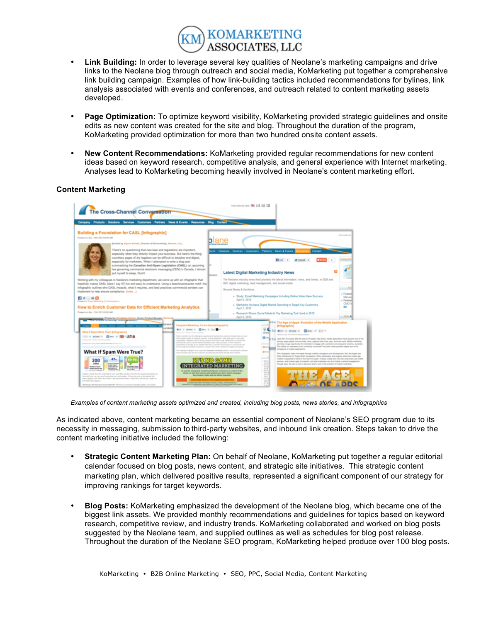

- **Link Building:** In order to leverage several key qualities of Neolane's marketing campaigns and drive links to the Neolane blog through outreach and social media, KoMarketing put together a comprehensive link building campaign. Examples of how link-building tactics included recommendations for bylines, link analysis associated with events and conferences, and outreach related to content marketing assets developed.
- **Page Optimization:** To optimize keyword visibility, KoMarketing provided strategic guidelines and onsite edits as new content was created for the site and blog. Throughout the duration of the program, KoMarketing provided optimization for more than two hundred onsite content assets.
- **New Content Recommendations:** KoMarketing provided regular recommendations for new content ideas based on keyword research, competitive analysis, and general experience with Internet marketing. Analyses lead to KoMarketing becoming heavily involved in Neolane's content marketing effort.

#### **Content Marketing**



*Examples of content marketing assets optimized and created, including blog posts, news stories, and infographics*

As indicated above, content marketing became an essential component of Neolane's SEO program due to its necessity in messaging, submission to third-party websites, and inbound link creation. Steps taken to drive the content marketing initiative included the following:

- **Strategic Content Marketing Plan:** On behalf of Neolane, KoMarketing put together a regular editorial calendar focused on blog posts, news content, and strategic site initiatives. This strategic content marketing plan, which delivered positive results, represented a significant component of our strategy for improving rankings for target keywords.
- **Blog Posts:** KoMarketing emphasized the development of the Neolane blog, which became one of the biggest link assets. We provided monthly recommendations and guidelines for topics based on keyword research, competitive review, and industry trends. KoMarketing collaborated and worked on blog posts suggested by the Neolane team, and supplied outlines as well as schedules for blog post release. Throughout the duration of the Neolane SEO program, KoMarketing helped produce over 100 blog posts.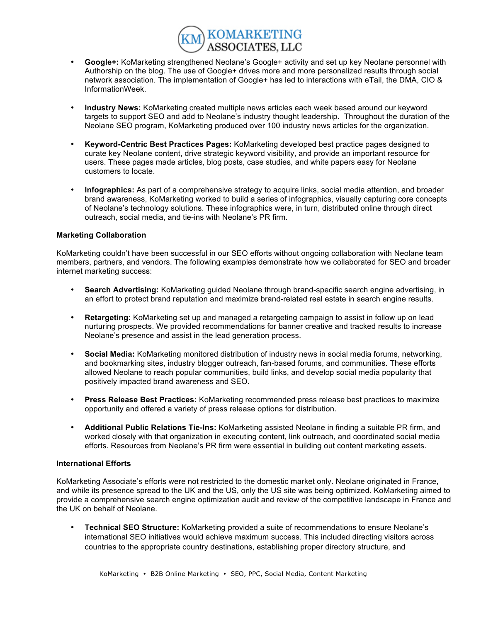

- **Google+:** KoMarketing strengthened Neolane's Google+ activity and set up key Neolane personnel with Authorship on the blog. The use of Google+ drives more and more personalized results through social network association. The implementation of Google+ has led to interactions with eTail, the DMA, CIO & InformationWeek.
- **Industry News:** KoMarketing created multiple news articles each week based around our keyword targets to support SEO and add to Neolane's industry thought leadership. Throughout the duration of the Neolane SEO program, KoMarketing produced over 100 industry news articles for the organization.
- **Keyword-Centric Best Practices Pages:** KoMarketing developed best practice pages designed to curate key Neolane content, drive strategic keyword visibility, and provide an important resource for users. These pages made articles, blog posts, case studies, and white papers easy for Neolane customers to locate.
- **Infographics:** As part of a comprehensive strategy to acquire links, social media attention, and broader brand awareness, KoMarketing worked to build a series of infographics, visually capturing core concepts of Neolane's technology solutions. These infographics were, in turn, distributed online through direct outreach, social media, and tie-ins with Neolane's PR firm.

#### **Marketing Collaboration**

KoMarketing couldn't have been successful in our SEO efforts without ongoing collaboration with Neolane team members, partners, and vendors. The following examples demonstrate how we collaborated for SEO and broader internet marketing success:

- **Search Advertising:** KoMarketing guided Neolane through brand-specific search engine advertising, in an effort to protect brand reputation and maximize brand-related real estate in search engine results.
- **Retargeting:** KoMarketing set up and managed a retargeting campaign to assist in follow up on lead nurturing prospects. We provided recommendations for banner creative and tracked results to increase Neolane's presence and assist in the lead generation process.
- **Social Media:** KoMarketing monitored distribution of industry news in social media forums, networking, and bookmarking sites, industry blogger outreach, fan-based forums, and communities. These efforts allowed Neolane to reach popular communities, build links, and develop social media popularity that positively impacted brand awareness and SEO.
- **Press Release Best Practices:** KoMarketing recommended press release best practices to maximize opportunity and offered a variety of press release options for distribution.
- **Additional Public Relations Tie-Ins:** KoMarketing assisted Neolane in finding a suitable PR firm, and worked closely with that organization in executing content, link outreach, and coordinated social media efforts. Resources from Neolane's PR firm were essential in building out content marketing assets.

#### **International Efforts**

KoMarketing Associate's efforts were not restricted to the domestic market only. Neolane originated in France, and while its presence spread to the UK and the US, only the US site was being optimized. KoMarketing aimed to provide a comprehensive search engine optimization audit and review of the competitive landscape in France and the UK on behalf of Neolane.

• **Technical SEO Structure:** KoMarketing provided a suite of recommendations to ensure Neolane's international SEO initiatives would achieve maximum success. This included directing visitors across countries to the appropriate country destinations, establishing proper directory structure, and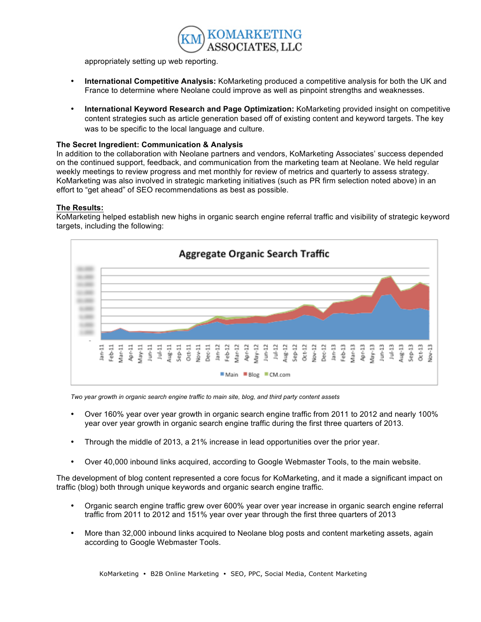

appropriately setting up web reporting.

- **International Competitive Analysis:** KoMarketing produced a competitive analysis for both the UK and France to determine where Neolane could improve as well as pinpoint strengths and weaknesses.
- **International Keyword Research and Page Optimization:** KoMarketing provided insight on competitive content strategies such as article generation based off of existing content and keyword targets. The key was to be specific to the local language and culture.

### **The Secret Ingredient: Communication & Analysis**

In addition to the collaboration with Neolane partners and vendors, KoMarketing Associates' success depended on the continued support, feedback, and communication from the marketing team at Neolane. We held regular weekly meetings to review progress and met monthly for review of metrics and quarterly to assess strategy. KoMarketing was also involved in strategic marketing initiatives (such as PR firm selection noted above) in an effort to "get ahead" of SEO recommendations as best as possible.

## **The Results:**

KoMarketing helped establish new highs in organic search engine referral traffic and visibility of strategic keyword targets, including the following:



*Two year growth in organic search engine traffic to main site, blog, and third party content assets*

- Over 160% year over year growth in organic search engine traffic from 2011 to 2012 and nearly 100% year over year growth in organic search engine traffic during the first three quarters of 2013.
- Through the middle of 2013, a 21% increase in lead opportunities over the prior year.
- Over 40,000 inbound links acquired, according to Google Webmaster Tools, to the main website.

The development of blog content represented a core focus for KoMarketing, and it made a significant impact on traffic (blog) both through unique keywords and organic search engine traffic.

- Organic search engine traffic grew over 600% year over year increase in organic search engine referral traffic from 2011 to 2012 and 151% year over year through the first three quarters of 2013
- More than 32,000 inbound links acquired to Neolane blog posts and content marketing assets, again according to Google Webmaster Tools.